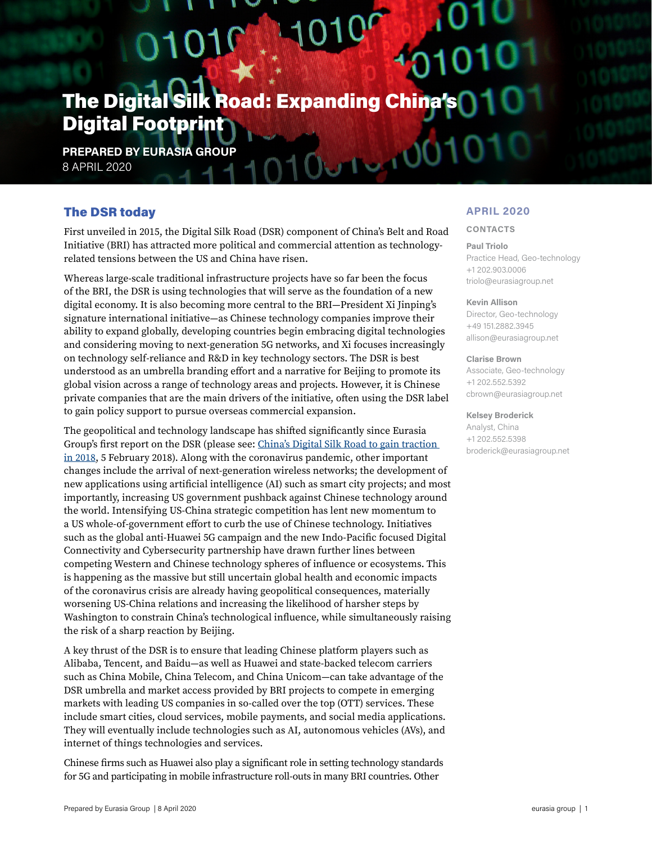# $O1Q$ **The Digital Silk Road: Expanding China** Digital Footprint

 $0.1 - 0$ 

**PREPARED BY EURASIA GROUP** 8 APRIL 2020

# The DSR today

First unveiled in 2015, the Digital Silk Road (DSR) component of China's Belt and Road Initiative (BRI) has attracted more political and commercial attention as technologyrelated tensions between the US and China have risen.

Whereas large-scale traditional infrastructure projects have so far been the focus of the BRI, the DSR is using technologies that will serve as the foundation of a new digital economy. It is also becoming more central to the BRI—President Xi Jinping's signature international initiative—as Chinese technology companies improve their ability to expand globally, developing countries begin embracing digital technologies and considering moving to next-generation 5G networks, and Xi focuses increasingly on technology self-reliance and R&D in key technology sectors. The DSR is best understood as an umbrella branding effort and a narrative for Beijing to promote its global vision across a range of technology areas and projects. However, it is Chinese private companies that are the main drivers of the initiative, often using the DSR label to gain policy support to pursue overseas commercial expansion.

The geopolitical and technology landscape has shifted significantly since Eurasia Group's first report on the DSR (please see: [China's Digital Silk Road to gain traction](https://library.eurasiagroup.net/document/open/9ba94f58-ed55-49b5-a5a5-9cd0a6d85e8d/9ba94f58-ed55-49b5-a5a5-9cd0a6d85e8d.pdf/7c4a8678-5a8e-417f-ab91-f0d0a40a1144)  [in 2018](https://library.eurasiagroup.net/document/open/9ba94f58-ed55-49b5-a5a5-9cd0a6d85e8d/9ba94f58-ed55-49b5-a5a5-9cd0a6d85e8d.pdf/7c4a8678-5a8e-417f-ab91-f0d0a40a1144), 5 February 2018). Along with the coronavirus pandemic, other important changes include the arrival of next-generation wireless networks; the development of new applications using artificial intelligence (AI) such as smart city projects; and most importantly, increasing US government pushback against Chinese technology around the world. Intensifying US-China strategic competition has lent new momentum to a US whole-of-government effort to curb the use of Chinese technology. Initiatives such as the global anti-Huawei 5G campaign and the new Indo-Pacific focused Digital Connectivity and Cybersecurity partnership have drawn further lines between competing Western and Chinese technology spheres of influence or ecosystems. This is happening as the massive but still uncertain global health and economic impacts of the coronavirus crisis are already having geopolitical consequences, materially worsening US-China relations and increasing the likelihood of harsher steps by Washington to constrain China's technological influence, while simultaneously raising the risk of a sharp reaction by Beijing.

A key thrust of the DSR is to ensure that leading Chinese platform players such as Alibaba, Tencent, and Baidu—as well as Huawei and state-backed telecom carriers such as China Mobile, China Telecom, and China Unicom—can take advantage of the DSR umbrella and market access provided by BRI projects to compete in emerging markets with leading US companies in so-called over the top (OTT) services. These include smart cities, cloud services, mobile payments, and social media applications. They will eventually include technologies such as AI, autonomous vehicles (AVs), and internet of things technologies and services.

Chinese firms such as Huawei also play a significant role in setting technology standards for 5G and participating in mobile infrastructure roll-outs in many BRI countries. Other

## **APRIL 2020**

#### **CONTACTS**

#### **Paul Triolo**

Practice Head, Geo-technology +1 202.903.0006 triolo@eurasiagroup.net

#### **Kevin Allison**

Director, Geo-technology +49 151.2882.3945 allison@eurasiagroup.net

#### **Clarise Brown**

Associate, Geo-technology +1 202.552.5392 cbrown@eurasiagroup.net

#### **Kelsey Broderick**

Analyst, China +1 202.552.5398 broderick@eurasiagroup.net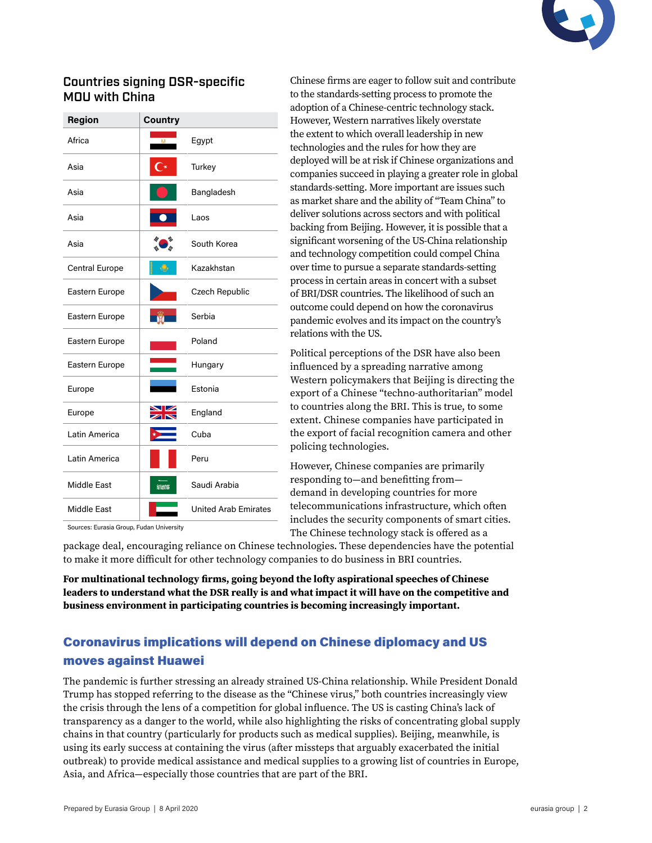

# Countries signing DSR-specific MOU with China

| Region                | Country          |                             |  |
|-----------------------|------------------|-----------------------------|--|
| Africa                | DZ.              | Egypt                       |  |
| Asia                  | $\overline{C^*}$ | Turkey                      |  |
| Asia                  |                  | Bangladesh                  |  |
| Asia                  |                  | Laos                        |  |
| Asia                  |                  | South Korea                 |  |
| <b>Central Europe</b> |                  | Kazakhstan                  |  |
| Eastern Europe        |                  | Czech Republic              |  |
| Eastern Europe        | <b>A</b>         | Serbia                      |  |
| Eastern Europe        |                  | Poland                      |  |
| Eastern Europe        |                  | Hungary                     |  |
| Europe                |                  | Estonia                     |  |
| Europe                | ↗                | England                     |  |
| Latin America         |                  | Cuba                        |  |
| Latin America         |                  | Peru                        |  |
| Middle East           | NIKER            | Saudi Arabia                |  |
| <b>Middle East</b>    |                  | <b>United Arab Emirates</b> |  |

Chinese firms are eager to follow suit and contribute to the standards-setting process to promote the adoption of a Chinese-centric technology stack. However, Western narratives likely overstate the extent to which overall leadership in new technologies and the rules for how they are deployed will be at risk if Chinese organizations and companies succeed in playing a greater role in global standards-setting. More important are issues such as market share and the ability of "Team China" to deliver solutions across sectors and with political backing from Beijing. However, it is possible that a significant worsening of the US-China relationship and technology competition could compel China over time to pursue a separate standards-setting process in certain areas in concert with a subset of BRI/DSR countries. The likelihood of such an outcome could depend on how the coronavirus pandemic evolves and its impact on the country's relations with the US.

Political perceptions of the DSR have also been influenced by a spreading narrative among Western policymakers that Beijing is directing the export of a Chinese "techno-authoritarian" model to countries along the BRI. This is true, to some extent. Chinese companies have participated in the export of facial recognition camera and other policing technologies.

However, Chinese companies are primarily responding to—and benefitting from demand in developing countries for more telecommunications infrastructure, which often includes the security components of smart cities. The Chinese technology stack is offered as a

Sources: Eurasia Group, Fudan University

package deal, encouraging reliance on Chinese technologies. These dependencies have the potential to make it more difficult for other technology companies to do business in BRI countries.

**For multinational technology firms, going beyond the lofty aspirational speeches of Chinese leaders to understand what the DSR really is and what impact it will have on the competitive and business environment in participating countries is becoming increasingly important.**

# Coronavirus implications will depend on Chinese diplomacy and US moves against Huawei

The pandemic is further stressing an already strained US-China relationship. While President Donald Trump has stopped referring to the disease as the "Chinese virus," both countries increasingly view the crisis through the lens of a competition for global influence. The US is casting China's lack of transparency as a danger to the world, while also highlighting the risks of concentrating global supply chains in that country (particularly for products such as medical supplies). Beijing, meanwhile, is using its early success at containing the virus (after missteps that arguably exacerbated the initial outbreak) to provide medical assistance and medical supplies to a growing list of countries in Europe, Asia, and Africa—especially those countries that are part of the BRI.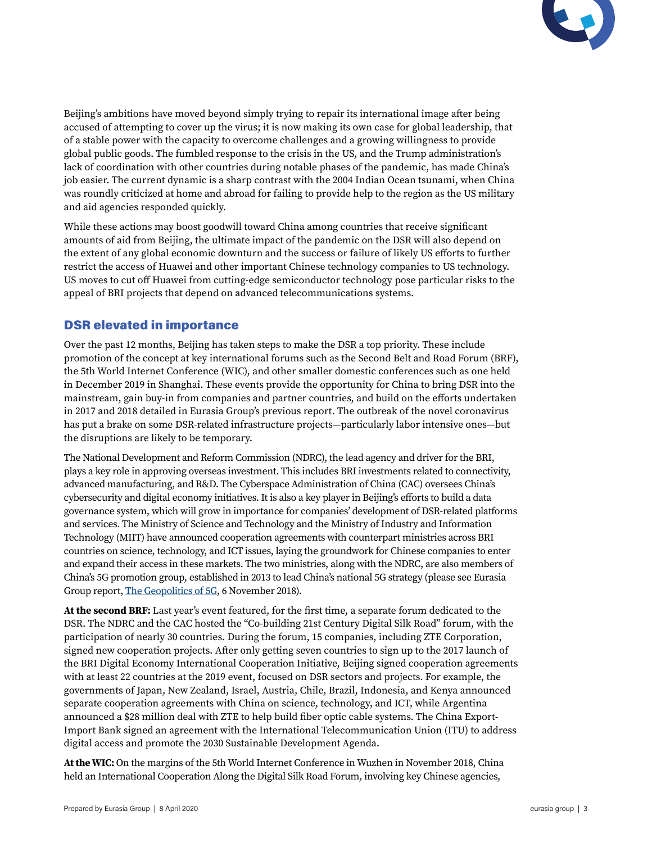

Beijing's ambitions have moved beyond simply trying to repair its international image after being accused of attempting to cover up the virus; it is now making its own case for global leadership, that of a stable power with the capacity to overcome challenges and a growing willingness to provide global public goods. The fumbled response to the crisis in the US, and the Trump administration's lack of coordination with other countries during notable phases of the pandemic, has made China's job easier. The current dynamic is a sharp contrast with the 2004 Indian Ocean tsunami, when China was roundly criticized at home and abroad for failing to provide help to the region as the US military and aid agencies responded quickly.

While these actions may boost goodwill toward China among countries that receive significant amounts of aid from Beijing, the ultimate impact of the pandemic on the DSR will also depend on the extent of any global economic downturn and the success or failure of likely US efforts to further restrict the access of Huawei and other important Chinese technology companies to US technology. US moves to cut off Huawei from cutting-edge semiconductor technology pose particular risks to the appeal of BRI projects that depend on advanced telecommunications systems.

# DSR elevated in importance

Over the past 12 months, Beijing has taken steps to make the DSR a top priority. These include promotion of the concept at key international forums such as the Second Belt and Road Forum (BRF), the 5th World Internet Conference (WIC), and other smaller domestic conferences such as one held in December 2019 in Shanghai. These events provide the opportunity for China to bring DSR into the mainstream, gain buy-in from companies and partner countries, and build on the efforts undertaken in 2017 and 2018 detailed in Eurasia Group's previous report. The outbreak of the novel coronavirus has put a brake on some DSR-related infrastructure projects—particularly labor intensive ones—but the disruptions are likely to be temporary.

The National Development and Reform Commission (NDRC), the lead agency and driver for the BRI, plays a key role in approving overseas investment. This includes BRI investments related to connectivity, advanced manufacturing, and R&D. The Cyberspace Administration of China (CAC) oversees China's cybersecurity and digital economy initiatives. It is also a key player in Beijing's efforts to build a data governance system, which will grow in importance for companies' development of DSR-related platforms and services. The Ministry of Science and Technology and the Ministry of Industry and Information Technology (MIIT) have announced cooperation agreements with counterpart ministries across BRI countries on science, technology, and ICT issues, laying the groundwork for Chinese companies to enter and expand their access in these markets. The two ministries, along with the NDRC, are also members of China's 5G promotion group, established in 2013 to lead China's national 5G strategy (please see Eurasia Group report, [The Geopolitics of 5G,](https://library.eurasiagroup.net/document/open/4f667929-ef2f-4f21-978d-00e626e2b50c/4f667929-ef2f-4f21-978d-00e626e2b50c.pdf/148fafff-3334-444f-9cde-7aa1920d9ef7) 6 November 2018).

**At the second BRF:** Last year's event featured, for the first time, a separate forum dedicated to the DSR. The NDRC and the CAC hosted the "Co-building 21st Century Digital Silk Road" forum, with the participation of nearly 30 countries. During the forum, 15 companies, including ZTE Corporation, signed new cooperation projects. After only getting seven countries to sign up to the 2017 launch of the BRI Digital Economy International Cooperation Initiative, Beijing signed cooperation agreements with at least 22 countries at the 2019 event, focused on DSR sectors and projects. For example, the governments of Japan, New Zealand, Israel, Austria, Chile, Brazil, Indonesia, and Kenya announced separate cooperation agreements with China on science, technology, and ICT, while Argentina announced a \$28 million deal with ZTE to help build fiber optic cable systems. The China Export-Import Bank signed an agreement with the International Telecommunication Union (ITU) to address digital access and promote the 2030 Sustainable Development Agenda.

**At the WIC:** On the margins of the 5th World Internet Conference in Wuzhen in November 2018, China held an International Cooperation Along the Digital Silk Road Forum, involving key Chinese agencies,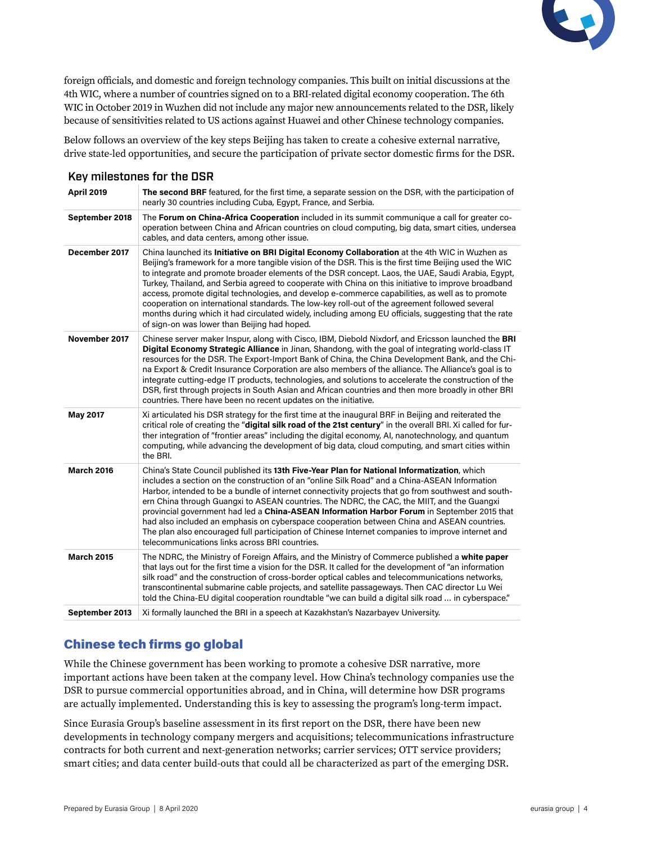

foreign officials, and domestic and foreign technology companies. This built on initial discussions at the 4th WIC, where a number of countries signed on to a BRI-related digital economy cooperation. The 6th WIC in October 2019 in Wuzhen did not include any major new announcements related to the DSR, likely because of sensitivities related to US actions against Huawei and other Chinese technology companies.

Below follows an overview of the key steps Beijing has taken to create a cohesive external narrative, drive state-led opportunities, and secure the participation of private sector domestic firms for the DSR.

|                   | Key milestones for the USR                                                                                                                                                                                                                                                                                                                                                                                                                                                                                                                                                                                                                                                                                                                                                                |  |  |  |  |  |
|-------------------|-------------------------------------------------------------------------------------------------------------------------------------------------------------------------------------------------------------------------------------------------------------------------------------------------------------------------------------------------------------------------------------------------------------------------------------------------------------------------------------------------------------------------------------------------------------------------------------------------------------------------------------------------------------------------------------------------------------------------------------------------------------------------------------------|--|--|--|--|--|
| <b>April 2019</b> | The second BRF featured, for the first time, a separate session on the DSR, with the participation of<br>nearly 30 countries including Cuba, Egypt, France, and Serbia.                                                                                                                                                                                                                                                                                                                                                                                                                                                                                                                                                                                                                   |  |  |  |  |  |
| September 2018    | The Forum on China-Africa Cooperation included in its summit communique a call for greater co-<br>operation between China and African countries on cloud computing, big data, smart cities, undersea<br>cables, and data centers, among other issue.                                                                                                                                                                                                                                                                                                                                                                                                                                                                                                                                      |  |  |  |  |  |
| December 2017     | China launched its <b>Initiative on BRI Digital Economy Collaboration</b> at the 4th WIC in Wuzhen as<br>Beijing's framework for a more tangible vision of the DSR. This is the first time Beijing used the WIC<br>to integrate and promote broader elements of the DSR concept. Laos, the UAE, Saudi Arabia, Egypt,<br>Turkey, Thailand, and Serbia agreed to cooperate with China on this initiative to improve broadband<br>access, promote digital technologies, and develop e-commerce capabilities, as well as to promote<br>cooperation on international standards. The low-key roll-out of the agreement followed several<br>months during which it had circulated widely, including among EU officials, suggesting that the rate<br>of sign-on was lower than Beijing had hoped. |  |  |  |  |  |
| November 2017     | Chinese server maker Inspur, along with Cisco, IBM, Diebold Nixdorf, and Ericsson launched the BRI<br>Digital Economy Strategic Alliance in Jinan, Shandong, with the goal of integrating world-class IT<br>resources for the DSR. The Export-Import Bank of China, the China Development Bank, and the Chi-<br>na Export & Credit Insurance Corporation are also members of the alliance. The Alliance's goal is to<br>integrate cutting-edge IT products, technologies, and solutions to accelerate the construction of the<br>DSR, first through projects in South Asian and African countries and then more broadly in other BRI<br>countries. There have been no recent updates on the initiative.                                                                                   |  |  |  |  |  |
| May 2017          | Xi articulated his DSR strategy for the first time at the inaugural BRF in Beijing and reiterated the<br>critical role of creating the "digital silk road of the 21st century" in the overall BRI. Xi called for fur-<br>ther integration of "frontier areas" including the digital economy, AI, nanotechnology, and quantum<br>computing, while advancing the development of big data, cloud computing, and smart cities within<br>the BRI.                                                                                                                                                                                                                                                                                                                                              |  |  |  |  |  |
| <b>March 2016</b> | China's State Council published its 13th Five-Year Plan for National Informatization, which<br>includes a section on the construction of an "online Silk Road" and a China-ASEAN Information<br>Harbor, intended to be a bundle of internet connectivity projects that go from southwest and south-<br>ern China through Guangxi to ASEAN countries. The NDRC, the CAC, the MIIT, and the Guangxi<br>provincial government had led a China-ASEAN Information Harbor Forum in September 2015 that<br>had also included an emphasis on cyberspace cooperation between China and ASEAN countries.<br>The plan also encouraged full participation of Chinese Internet companies to improve internet and<br>telecommunications links across BRI countries.                                     |  |  |  |  |  |
| <b>March 2015</b> | The NDRC, the Ministry of Foreign Affairs, and the Ministry of Commerce published a white paper<br>that lays out for the first time a vision for the DSR. It called for the development of "an information"<br>silk road" and the construction of cross-border optical cables and telecommunications networks,<br>transcontinental submarine cable projects, and satellite passageways. Then CAC director Lu Wei<br>told the China-EU digital cooperation roundtable "we can build a digital silk road  in cyberspace."                                                                                                                                                                                                                                                                   |  |  |  |  |  |
| September 2013    | Xi formally launched the BRI in a speech at Kazakhstan's Nazarbayev University.                                                                                                                                                                                                                                                                                                                                                                                                                                                                                                                                                                                                                                                                                                           |  |  |  |  |  |
|                   |                                                                                                                                                                                                                                                                                                                                                                                                                                                                                                                                                                                                                                                                                                                                                                                           |  |  |  |  |  |

## Key milestones for the DSR

# Chinese tech firms go global

While the Chinese government has been working to promote a cohesive DSR narrative, more important actions have been taken at the company level. How China's technology companies use the DSR to pursue commercial opportunities abroad, and in China, will determine how DSR programs are actually implemented. Understanding this is key to assessing the program's long-term impact.

Since Eurasia Group's baseline assessment in its first report on the DSR, there have been new developments in technology company mergers and acquisitions; telecommunications infrastructure contracts for both current and next-generation networks; carrier services; OTT service providers; smart cities; and data center build-outs that could all be characterized as part of the emerging DSR.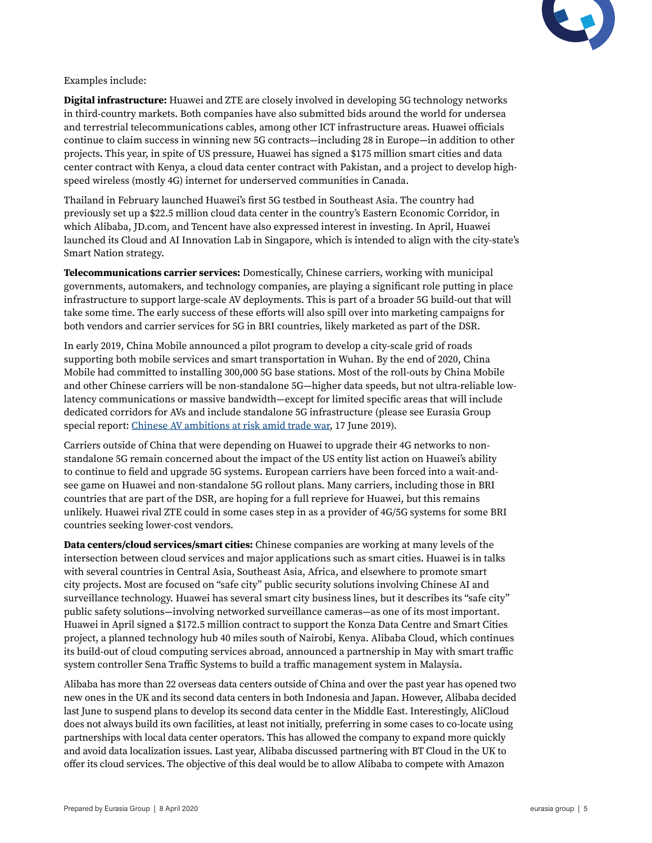

### Examples include:

**Digital infrastructure:** Huawei and ZTE are closely involved in developing 5G technology networks in third-country markets. Both companies have also submitted bids around the world for undersea and terrestrial telecommunications cables, among other ICT infrastructure areas. Huawei officials continue to claim success in winning new 5G contracts—including 28 in Europe—in addition to other projects. This year, in spite of US pressure, Huawei has signed a \$175 million smart cities and data center contract with Kenya, a cloud data center contract with Pakistan, and a project to develop highspeed wireless (mostly 4G) internet for underserved communities in Canada.

Thailand in February launched Huawei's first 5G testbed in Southeast Asia. The country had previously set up a \$22.5 million cloud data center in the country's Eastern Economic Corridor, in which Alibaba, JD.com, and Tencent have also expressed interest in investing. In April, Huawei launched its Cloud and AI Innovation Lab in Singapore, which is intended to align with the city-state's Smart Nation strategy.

**Telecommunications carrier services:** Domestically, Chinese carriers, working with municipal governments, automakers, and technology companies, are playing a significant role putting in place infrastructure to support large-scale AV deployments. This is part of a broader 5G build-out that will take some time. The early success of these efforts will also spill over into marketing campaigns for both vendors and carrier services for 5G in BRI countries, likely marketed as part of the DSR.

In early 2019, China Mobile announced a pilot program to develop a city-scale grid of roads supporting both mobile services and smart transportation in Wuhan. By the end of 2020, China Mobile had committed to installing 300,000 5G base stations. Most of the roll-outs by China Mobile and other Chinese carriers will be non-standalone 5G—higher data speeds, but not ultra-reliable lowlatency communications or massive bandwidth—except for limited specific areas that will include dedicated corridors for AVs and include standalone 5G infrastructure (please see Eurasia Group special report: [Chinese AV ambitions at risk amid trade war,](https://library.eurasiagroup.net/document/open/44e7f524-cc55-4f21-9218-e47e97750838/44e7f524-cc55-4f21-9218-e47e97750838.pdf/2a00e082-7443-4fcb-b848-916b2f5674f3) 17 June 2019).

Carriers outside of China that were depending on Huawei to upgrade their 4G networks to nonstandalone 5G remain concerned about the impact of the US entity list action on Huawei's ability to continue to field and upgrade 5G systems. European carriers have been forced into a wait-andsee game on Huawei and non-standalone 5G rollout plans. Many carriers, including those in BRI countries that are part of the DSR, are hoping for a full reprieve for Huawei, but this remains unlikely. Huawei rival ZTE could in some cases step in as a provider of 4G/5G systems for some BRI countries seeking lower-cost vendors.

**Data centers/cloud services/smart cities:** Chinese companies are working at many levels of the intersection between cloud services and major applications such as smart cities. Huawei is in talks with several countries in Central Asia, Southeast Asia, Africa, and elsewhere to promote smart city projects. Most are focused on "safe city" public security solutions involving Chinese AI and surveillance technology. Huawei has several smart city business lines, but it describes its "safe city" public safety solutions—involving networked surveillance cameras—as one of its most important. Huawei in April signed a \$172.5 million contract to support the Konza Data Centre and Smart Cities project, a planned technology hub 40 miles south of Nairobi, Kenya. Alibaba Cloud, which continues its build-out of cloud computing services abroad, announced a partnership in May with smart traffic system controller Sena Traffic Systems to build a traffic management system in Malaysia.

Alibaba has more than 22 overseas data centers outside of China and over the past year has opened two new ones in the UK and its second data centers in both Indonesia and Japan. However, Alibaba decided last June to suspend plans to develop its second data center in the Middle East. Interestingly, AliCloud does not always build its own facilities, at least not initially, preferring in some cases to co-locate using partnerships with local data center operators. This has allowed the company to expand more quickly and avoid data localization issues. Last year, Alibaba discussed partnering with BT Cloud in the UK to offer its cloud services. The objective of this deal would be to allow Alibaba to compete with Amazon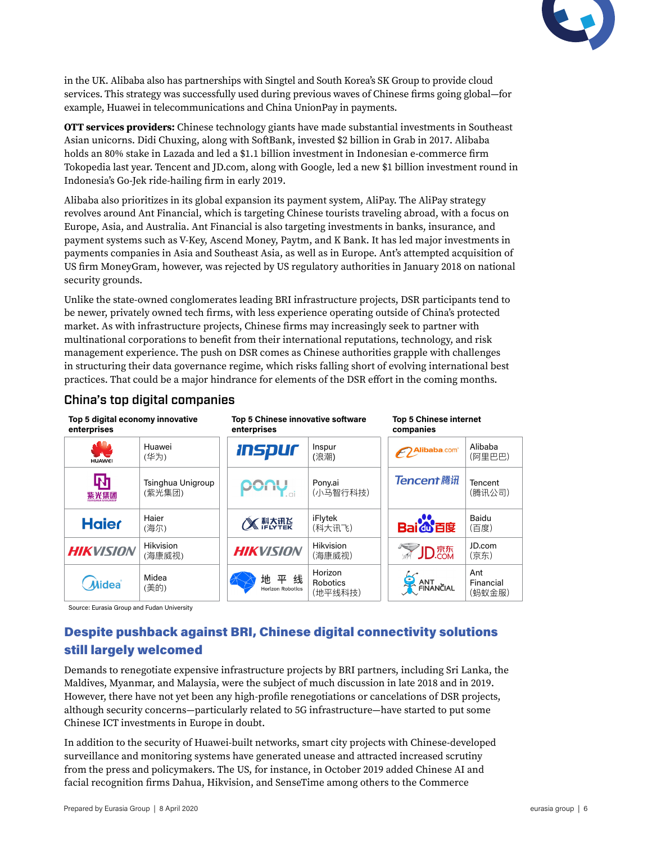

in the UK. Alibaba also has partnerships with Singtel and South Korea's SK Group to provide cloud services. This strategy was successfully used during previous waves of Chinese firms going global—for example, Huawei in telecommunications and China UnionPay in payments.

**OTT services providers:** Chinese technology giants have made substantial investments in Southeast Asian unicorns. Didi Chuxing, along with SoftBank, invested \$2 billion in Grab in 2017. Alibaba holds an 80% stake in Lazada and led a \$1.1 billion investment in Indonesian e-commerce firm Tokopedia last year. Tencent and JD.com, along with Google, led a new \$1 billion investment round in Indonesia's Go-Jek ride-hailing firm in early 2019.

Alibaba also prioritizes in its global expansion its payment system, AliPay. The AliPay strategy revolves around Ant Financial, which is targeting Chinese tourists traveling abroad, with a focus on Europe, Asia, and Australia. Ant Financial is also targeting investments in banks, insurance, and payment systems such as V-Key, Ascend Money, Paytm, and K Bank. It has led major investments in payments companies in Asia and Southeast Asia, as well as in Europe. Ant's attempted acquisition of US firm MoneyGram, however, was rejected by US regulatory authorities in January 2018 on national security grounds.

Unlike the state-owned conglomerates leading BRI infrastructure projects, DSR participants tend to be newer, privately owned tech firms, with less experience operating outside of China's protected market. As with infrastructure projects, Chinese firms may increasingly seek to partner with multinational corporations to benefit from their international reputations, technology, and risk management experience. The push on DSR comes as Chinese authorities grapple with challenges in structuring their data governance regime, which risks falling short of evolving international best practices. That could be a major hindrance for elements of the DSR effort in the coming months.

| Top 5 digital economy innovative<br>enterprises |                             | Top 5 Chinese innovative software<br>enterprises |                                | <b>Top 5 Chinese internet</b><br>companies |                            |
|-------------------------------------------------|-----------------------------|--------------------------------------------------|--------------------------------|--------------------------------------------|----------------------------|
| 92<br><b>HUAWEI</b>                             | Huawei<br>(华为)              | <i><b>Inspur</b></i>                             | Inspur<br>(浪潮)                 | Alibaba.com                                | Alibaba<br>(阿里巴巴)          |
| 叼<br>紫光集团                                       | Tsinghua Unigroup<br>(紫光集团) | pony                                             | Pony.ai<br>(小马智行科技)            | <b>Tencent 腾讯</b>                          | Tencent<br>(腾讯公司)          |
| <b>Haier</b>                                    | Haier<br>(海尔)               | 《《科太讯及                                           | iFlytek<br>(科大讯飞)              | <b>Bai di</b> 百度                           | Baidu<br>(百度)              |
| <b>HIKVISION</b>                                | Hikvision<br>(海康威视)         | <b>HIKVISION</b>                                 | Hikvision<br>(海康威视)            | <b>SEAD</b> DRAFT                          | JD.com<br>(京东)             |
| Midea                                           | Midea<br>(美的)               | 地平线<br><b>Horizon Robotics</b>                   | Horizon<br>Robotics<br>(地平线科技) | ANT EINANCIAL                              | Ant<br>Financial<br>(蚂蚁金服) |

## China's top digital companies

Source: Eurasia Group and Fudan University

# Despite pushback against BRI, Chinese digital connectivity solutions still largely welcomed

Demands to renegotiate expensive infrastructure projects by BRI partners, including Sri Lanka, the Maldives, Myanmar, and Malaysia, were the subject of much discussion in late 2018 and in 2019. However, there have not yet been any high-profile renegotiations or cancelations of DSR projects, although security concerns—particularly related to 5G infrastructure—have started to put some Chinese ICT investments in Europe in doubt.

In addition to the security of Huawei-built networks, smart city projects with Chinese-developed surveillance and monitoring systems have generated unease and attracted increased scrutiny from the press and policymakers. The US, for instance, in October 2019 added Chinese AI and facial recognition firms Dahua, Hikvision, and SenseTime among others to the Commerce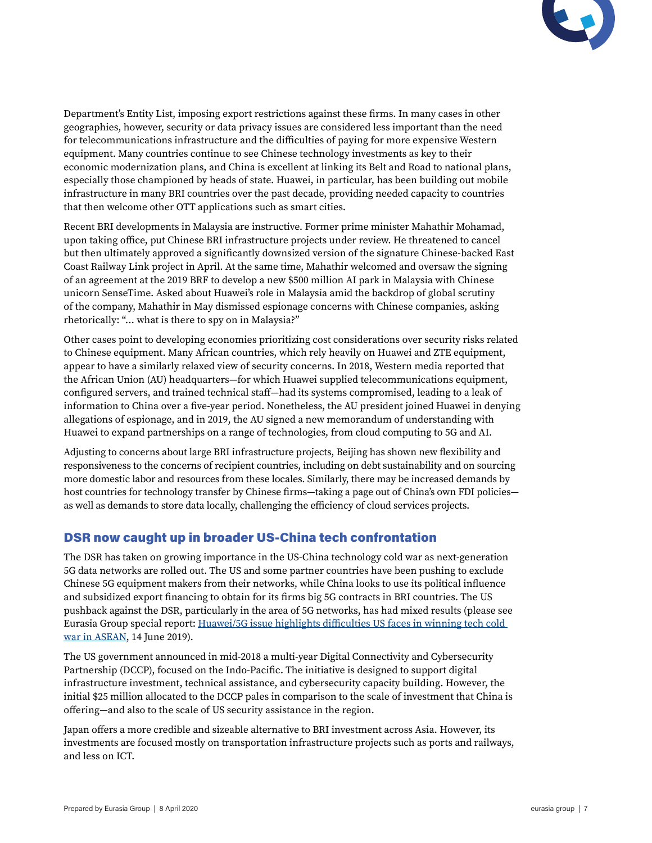

Department's Entity List, imposing export restrictions against these firms. In many cases in other geographies, however, security or data privacy issues are considered less important than the need for telecommunications infrastructure and the difficulties of paying for more expensive Western equipment. Many countries continue to see Chinese technology investments as key to their economic modernization plans, and China is excellent at linking its Belt and Road to national plans, especially those championed by heads of state. Huawei, in particular, has been building out mobile infrastructure in many BRI countries over the past decade, providing needed capacity to countries that then welcome other OTT applications such as smart cities.

Recent BRI developments in Malaysia are instructive. Former prime minister Mahathir Mohamad, upon taking office, put Chinese BRI infrastructure projects under review. He threatened to cancel but then ultimately approved a significantly downsized version of the signature Chinese-backed East Coast Railway Link project in April. At the same time, Mahathir welcomed and oversaw the signing of an agreement at the 2019 BRF to develop a new \$500 million AI park in Malaysia with Chinese unicorn SenseTime. Asked about Huawei's role in Malaysia amid the backdrop of global scrutiny of the company, Mahathir in May dismissed espionage concerns with Chinese companies, asking rhetorically: "... what is there to spy on in Malaysia?"

Other cases point to developing economies prioritizing cost considerations over security risks related to Chinese equipment. Many African countries, which rely heavily on Huawei and ZTE equipment, appear to have a similarly relaxed view of security concerns. In 2018, Western media reported that the African Union (AU) headquarters—for which Huawei supplied telecommunications equipment, configured servers, and trained technical staff—had its systems compromised, leading to a leak of information to China over a five-year period. Nonetheless, the AU president joined Huawei in denying allegations of espionage, and in 2019, the AU signed a new memorandum of understanding with Huawei to expand partnerships on a range of technologies, from cloud computing to 5G and AI.

Adjusting to concerns about large BRI infrastructure projects, Beijing has shown new flexibility and responsiveness to the concerns of recipient countries, including on debt sustainability and on sourcing more domestic labor and resources from these locales. Similarly, there may be increased demands by host countries for technology transfer by Chinese firms—taking a page out of China's own FDI policies as well as demands to store data locally, challenging the efficiency of cloud services projects.

## DSR now caught up in broader US-China tech confrontation

The DSR has taken on growing importance in the US-China technology cold war as next-generation 5G data networks are rolled out. The US and some partner countries have been pushing to exclude Chinese 5G equipment makers from their networks, while China looks to use its political influence and subsidized export financing to obtain for its firms big 5G contracts in BRI countries. The US pushback against the DSR, particularly in the area of 5G networks, has had mixed results (please see Eurasia Group special report: [Huawei/5G issue highlights difficulties US faces in winning tech cold](https://library.eurasiagroup.net/document/open/cd65ae73-f33c-4edb-a7ab-1e2193838a09/cd65ae73-f33c-4edb-a7ab-1e2193838a09.pdf/03ec52c4-5235-4314-a087-98f85d32457e)  [war in ASEAN,](https://library.eurasiagroup.net/document/open/cd65ae73-f33c-4edb-a7ab-1e2193838a09/cd65ae73-f33c-4edb-a7ab-1e2193838a09.pdf/03ec52c4-5235-4314-a087-98f85d32457e) 14 June 2019).

The US government announced in mid-2018 a multi-year Digital Connectivity and Cybersecurity Partnership (DCCP), focused on the Indo-Pacific. The initiative is designed to support digital infrastructure investment, technical assistance, and cybersecurity capacity building. However, the initial \$25 million allocated to the DCCP pales in comparison to the scale of investment that China is offering—and also to the scale of US security assistance in the region.

Japan offers a more credible and sizeable alternative to BRI investment across Asia. However, its investments are focused mostly on transportation infrastructure projects such as ports and railways, and less on ICT.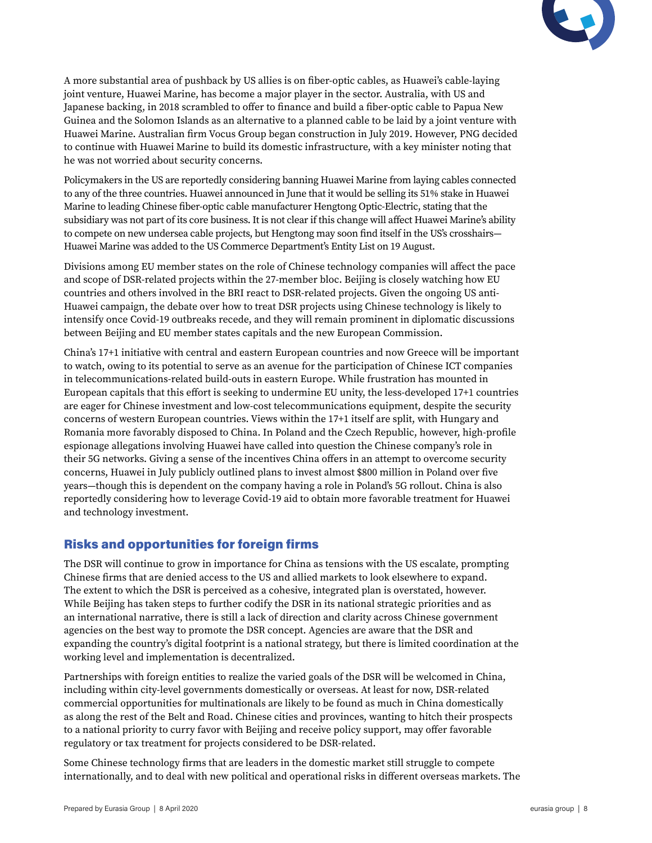

A more substantial area of pushback by US allies is on fiber-optic cables, as Huawei's cable-laying joint venture, Huawei Marine, has become a major player in the sector. Australia, with US and Japanese backing, in 2018 scrambled to offer to finance and build a fiber-optic cable to Papua New Guinea and the Solomon Islands as an alternative to a planned cable to be laid by a joint venture with Huawei Marine. Australian firm Vocus Group began construction in July 2019. However, PNG decided to continue with Huawei Marine to build its domestic infrastructure, with a key minister noting that he was not worried about security concerns.

Policymakers in the US are reportedly considering banning Huawei Marine from laying cables connected to any of the three countries. Huawei announced in June that it would be selling its 51% stake in Huawei Marine to leading Chinese fiber-optic cable manufacturer Hengtong Optic-Electric, stating that the subsidiary was not part of its core business. It is not clear if this change will affect Huawei Marine's ability to compete on new undersea cable projects, but Hengtong may soon find itself in the US's crosshairs— Huawei Marine was added to the US Commerce Department's Entity List on 19 August.

Divisions among EU member states on the role of Chinese technology companies will affect the pace and scope of DSR-related projects within the 27-member bloc. Beijing is closely watching how EU countries and others involved in the BRI react to DSR-related projects. Given the ongoing US anti-Huawei campaign, the debate over how to treat DSR projects using Chinese technology is likely to intensify once Covid-19 outbreaks recede, and they will remain prominent in diplomatic discussions between Beijing and EU member states capitals and the new European Commission.

China's 17+1 initiative with central and eastern European countries and now Greece will be important to watch, owing to its potential to serve as an avenue for the participation of Chinese ICT companies in telecommunications-related build-outs in eastern Europe. While frustration has mounted in European capitals that this effort is seeking to undermine EU unity, the less-developed 17+1 countries are eager for Chinese investment and low-cost telecommunications equipment, despite the security concerns of western European countries. Views within the 17+1 itself are split, with Hungary and Romania more favorably disposed to China. In Poland and the Czech Republic, however, high-profile espionage allegations involving Huawei have called into question the Chinese company's role in their 5G networks. Giving a sense of the incentives China offers in an attempt to overcome security concerns, Huawei in July publicly outlined plans to invest almost \$800 million in Poland over five years—though this is dependent on the company having a role in Poland's 5G rollout. China is also reportedly considering how to leverage Covid-19 aid to obtain more favorable treatment for Huawei and technology investment.

# Risks and opportunities for foreign firms

The DSR will continue to grow in importance for China as tensions with the US escalate, prompting Chinese firms that are denied access to the US and allied markets to look elsewhere to expand. The extent to which the DSR is perceived as a cohesive, integrated plan is overstated, however. While Beijing has taken steps to further codify the DSR in its national strategic priorities and as an international narrative, there is still a lack of direction and clarity across Chinese government agencies on the best way to promote the DSR concept. Agencies are aware that the DSR and expanding the country's digital footprint is a national strategy, but there is limited coordination at the working level and implementation is decentralized.

Partnerships with foreign entities to realize the varied goals of the DSR will be welcomed in China, including within city-level governments domestically or overseas. At least for now, DSR-related commercial opportunities for multinationals are likely to be found as much in China domestically as along the rest of the Belt and Road. Chinese cities and provinces, wanting to hitch their prospects to a national priority to curry favor with Beijing and receive policy support, may offer favorable regulatory or tax treatment for projects considered to be DSR-related.

Some Chinese technology firms that are leaders in the domestic market still struggle to compete internationally, and to deal with new political and operational risks in different overseas markets. The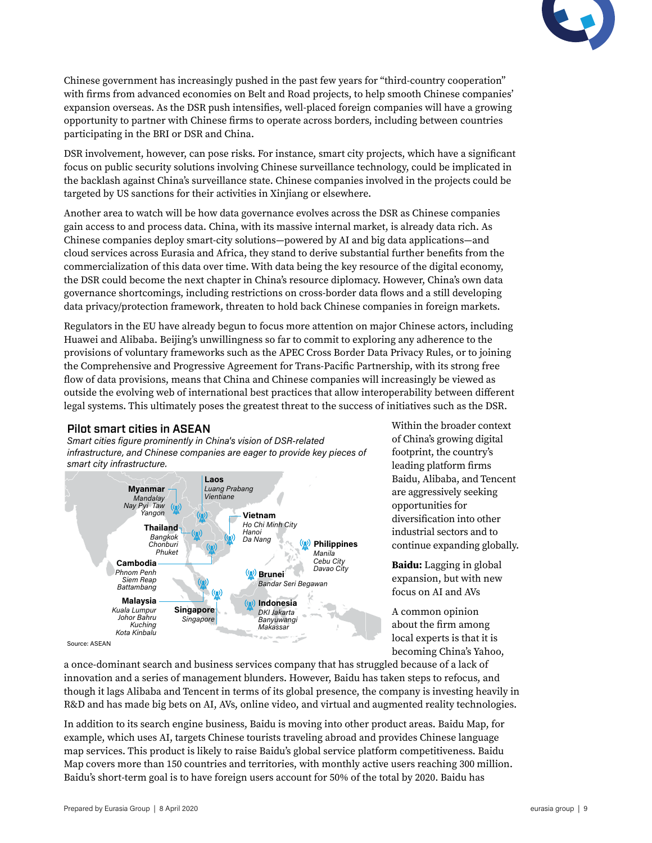

Chinese government has increasingly pushed in the past few years for "third-country cooperation" with firms from advanced economies on Belt and Road projects, to help smooth Chinese companies' expansion overseas. As the DSR push intensifies, well-placed foreign companies will have a growing opportunity to partner with Chinese firms to operate across borders, including between countries participating in the BRI or DSR and China.

DSR involvement, however, can pose risks. For instance, smart city projects, which have a significant focus on public security solutions involving Chinese surveillance technology, could be implicated in the backlash against China's surveillance state. Chinese companies involved in the projects could be targeted by US sanctions for their activities in Xinjiang or elsewhere.

Another area to watch will be how data governance evolves across the DSR as Chinese companies gain access to and process data. China, with its massive internal market, is already data rich. As Chinese companies deploy smart-city solutions—powered by AI and big data applications—and cloud services across Eurasia and Africa, they stand to derive substantial further benefits from the commercialization of this data over time. With data being the key resource of the digital economy, the DSR could become the next chapter in China's resource diplomacy. However, China's own data governance shortcomings, including restrictions on cross-border data flows and a still developing data privacy/protection framework, threaten to hold back Chinese companies in foreign markets.

Regulators in the EU have already begun to focus more attention on major Chinese actors, including Huawei and Alibaba. Beijing's unwillingness so far to commit to exploring any adherence to the provisions of voluntary frameworks such as the APEC Cross Border Data Privacy Rules, or to joining the Comprehensive and Progressive Agreement for Trans-Pacific Partnership, with its strong free flow of data provisions, means that China and Chinese companies will increasingly be viewed as outside the evolving web of international best practices that allow interoperability between different legal systems. This ultimately poses the greatest threat to the success of initiatives such as the DSR.

## Pilot smart cities in ASEAN

*Smart cities figure prominently in China's vision of DSR-related infrastructure, and Chinese companies are eager to provide key pieces of smart city infrastructure.* 



Within the broader context of China's growing digital footprint, the country's leading platform firms Baidu, Alibaba, and Tencent are aggressively seeking opportunities for diversification into other industrial sectors and to continue expanding globally.

**Baidu:** Lagging in global expansion, but with new focus on AI and AVs

A common opinion about the firm among local experts is that it is becoming China's Yahoo,

a once-dominant search and business services company that has struggled because of a lack of innovation and a series of management blunders. However, Baidu has taken steps to refocus, and though it lags Alibaba and Tencent in terms of its global presence, the company is investing heavily in R&D and has made big bets on AI, AVs, online video, and virtual and augmented reality technologies.

In addition to its search engine business, Baidu is moving into other product areas. Baidu Map, for example, which uses AI, targets Chinese tourists traveling abroad and provides Chinese language map services. This product is likely to raise Baidu's global service platform competitiveness. Baidu Map covers more than 150 countries and territories, with monthly active users reaching 300 million. Baidu's short-term goal is to have foreign users account for 50% of the total by 2020. Baidu has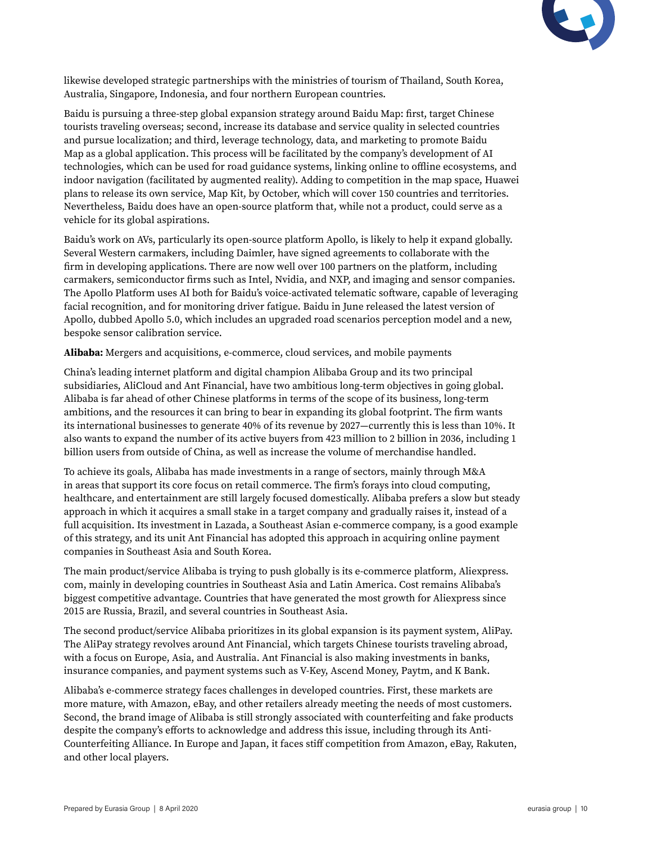

likewise developed strategic partnerships with the ministries of tourism of Thailand, South Korea, Australia, Singapore, Indonesia, and four northern European countries.

Baidu is pursuing a three-step global expansion strategy around Baidu Map: first, target Chinese tourists traveling overseas; second, increase its database and service quality in selected countries and pursue localization; and third, leverage technology, data, and marketing to promote Baidu Map as a global application. This process will be facilitated by the company's development of AI technologies, which can be used for road guidance systems, linking online to offline ecosystems, and indoor navigation (facilitated by augmented reality). Adding to competition in the map space, Huawei plans to release its own service, Map Kit, by October, which will cover 150 countries and territories. Nevertheless, Baidu does have an open-source platform that, while not a product, could serve as a vehicle for its global aspirations.

Baidu's work on AVs, particularly its open-source platform Apollo, is likely to help it expand globally. Several Western carmakers, including Daimler, have signed agreements to collaborate with the firm in developing applications. There are now well over 100 partners on the platform, including carmakers, semiconductor firms such as Intel, Nvidia, and NXP, and imaging and sensor companies. The Apollo Platform uses AI both for Baidu's voice-activated telematic software, capable of leveraging facial recognition, and for monitoring driver fatigue. Baidu in June released the latest version of Apollo, dubbed Apollo 5.0, which includes an upgraded road scenarios perception model and a new, bespoke sensor calibration service.

**Alibaba:** Mergers and acquisitions, e-commerce, cloud services, and mobile payments

China's leading internet platform and digital champion Alibaba Group and its two principal subsidiaries, AliCloud and Ant Financial, have two ambitious long-term objectives in going global. Alibaba is far ahead of other Chinese platforms in terms of the scope of its business, long-term ambitions, and the resources it can bring to bear in expanding its global footprint. The firm wants its international businesses to generate 40% of its revenue by 2027—currently this is less than 10%. It also wants to expand the number of its active buyers from 423 million to 2 billion in 2036, including 1 billion users from outside of China, as well as increase the volume of merchandise handled.

To achieve its goals, Alibaba has made investments in a range of sectors, mainly through M&A in areas that support its core focus on retail commerce. The firm's forays into cloud computing, healthcare, and entertainment are still largely focused domestically. Alibaba prefers a slow but steady approach in which it acquires a small stake in a target company and gradually raises it, instead of a full acquisition. Its investment in Lazada, a Southeast Asian e-commerce company, is a good example of this strategy, and its unit Ant Financial has adopted this approach in acquiring online payment companies in Southeast Asia and South Korea.

The main product/service Alibaba is trying to push globally is its e-commerce platform, Aliexpress. com, mainly in developing countries in Southeast Asia and Latin America. Cost remains Alibaba's biggest competitive advantage. Countries that have generated the most growth for Aliexpress since 2015 are Russia, Brazil, and several countries in Southeast Asia.

The second product/service Alibaba prioritizes in its global expansion is its payment system, AliPay. The AliPay strategy revolves around Ant Financial, which targets Chinese tourists traveling abroad, with a focus on Europe, Asia, and Australia. Ant Financial is also making investments in banks, insurance companies, and payment systems such as V-Key, Ascend Money, Paytm, and K Bank.

Alibaba's e-commerce strategy faces challenges in developed countries. First, these markets are more mature, with Amazon, eBay, and other retailers already meeting the needs of most customers. Second, the brand image of Alibaba is still strongly associated with counterfeiting and fake products despite the company's efforts to acknowledge and address this issue, including through its Anti-Counterfeiting Alliance. In Europe and Japan, it faces stiff competition from Amazon, eBay, Rakuten, and other local players.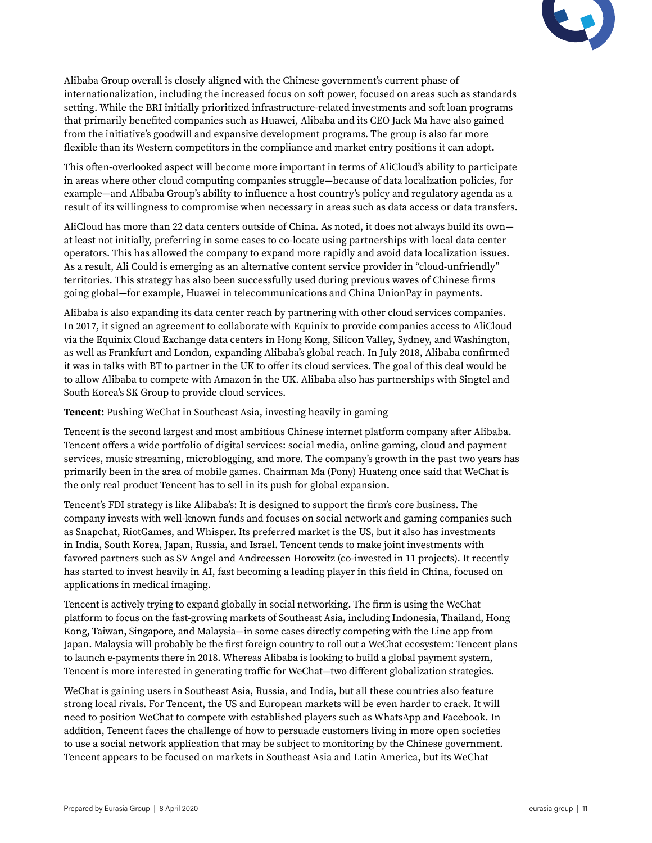

Alibaba Group overall is closely aligned with the Chinese government's current phase of internationalization, including the increased focus on soft power, focused on areas such as standards setting. While the BRI initially prioritized infrastructure-related investments and soft loan programs that primarily benefited companies such as Huawei, Alibaba and its CEO Jack Ma have also gained from the initiative's goodwill and expansive development programs. The group is also far more flexible than its Western competitors in the compliance and market entry positions it can adopt.

This often-overlooked aspect will become more important in terms of AliCloud's ability to participate in areas where other cloud computing companies struggle—because of data localization policies, for example—and Alibaba Group's ability to influence a host country's policy and regulatory agenda as a result of its willingness to compromise when necessary in areas such as data access or data transfers.

AliCloud has more than 22 data centers outside of China. As noted, it does not always build its own at least not initially, preferring in some cases to co-locate using partnerships with local data center operators. This has allowed the company to expand more rapidly and avoid data localization issues. As a result, Ali Could is emerging as an alternative content service provider in "cloud-unfriendly" territories. This strategy has also been successfully used during previous waves of Chinese firms going global—for example, Huawei in telecommunications and China UnionPay in payments.

Alibaba is also expanding its data center reach by partnering with other cloud services companies. In 2017, it signed an agreement to collaborate with Equinix to provide companies access to AliCloud via the Equinix Cloud Exchange data centers in Hong Kong, Silicon Valley, Sydney, and Washington, as well as Frankfurt and London, expanding Alibaba's global reach. In July 2018, Alibaba confirmed it was in talks with BT to partner in the UK to offer its cloud services. The goal of this deal would be to allow Alibaba to compete with Amazon in the UK. Alibaba also has partnerships with Singtel and South Korea's SK Group to provide cloud services.

**Tencent:** Pushing WeChat in Southeast Asia, investing heavily in gaming

Tencent is the second largest and most ambitious Chinese internet platform company after Alibaba. Tencent offers a wide portfolio of digital services: social media, online gaming, cloud and payment services, music streaming, microblogging, and more. The company's growth in the past two years has primarily been in the area of mobile games. Chairman Ma (Pony) Huateng once said that WeChat is the only real product Tencent has to sell in its push for global expansion.

Tencent's FDI strategy is like Alibaba's: It is designed to support the firm's core business. The company invests with well-known funds and focuses on social network and gaming companies such as Snapchat, RiotGames, and Whisper. Its preferred market is the US, but it also has investments in India, South Korea, Japan, Russia, and Israel. Tencent tends to make joint investments with favored partners such as SV Angel and Andreessen Horowitz (co-invested in 11 projects). It recently has started to invest heavily in AI, fast becoming a leading player in this field in China, focused on applications in medical imaging.

Tencent is actively trying to expand globally in social networking. The firm is using the WeChat platform to focus on the fast-growing markets of Southeast Asia, including Indonesia, Thailand, Hong Kong, Taiwan, Singapore, and Malaysia—in some cases directly competing with the Line app from Japan. Malaysia will probably be the first foreign country to roll out a WeChat ecosystem: Tencent plans to launch e-payments there in 2018. Whereas Alibaba is looking to build a global payment system, Tencent is more interested in generating traffic for WeChat—two different globalization strategies.

WeChat is gaining users in Southeast Asia, Russia, and India, but all these countries also feature strong local rivals. For Tencent, the US and European markets will be even harder to crack. It will need to position WeChat to compete with established players such as WhatsApp and Facebook. In addition, Tencent faces the challenge of how to persuade customers living in more open societies to use a social network application that may be subject to monitoring by the Chinese government. Tencent appears to be focused on markets in Southeast Asia and Latin America, but its WeChat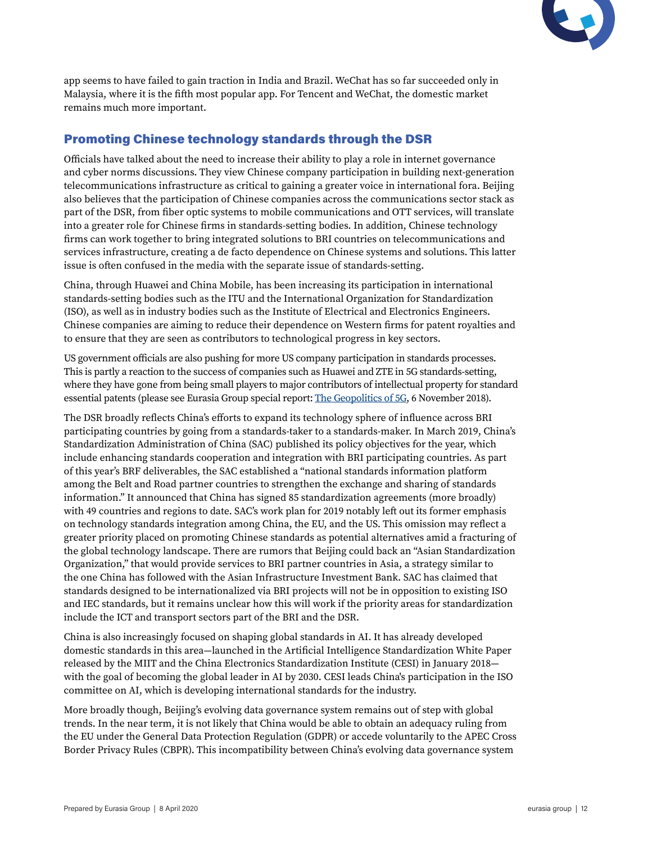

app seems to have failed to gain traction in India and Brazil. WeChat has so far succeeded only in Malaysia, where it is the fifth most popular app. For Tencent and WeChat, the domestic market remains much more important.

# Promoting Chinese technology standards through the DSR

Officials have talked about the need to increase their ability to play a role in internet governance and cyber norms discussions. They view Chinese company participation in building next-generation telecommunications infrastructure as critical to gaining a greater voice in international fora. Beijing also believes that the participation of Chinese companies across the communications sector stack as part of the DSR, from fiber optic systems to mobile communications and OTT services, will translate into a greater role for Chinese firms in standards-setting bodies. In addition, Chinese technology firms can work together to bring integrated solutions to BRI countries on telecommunications and services infrastructure, creating a de facto dependence on Chinese systems and solutions. This latter issue is often confused in the media with the separate issue of standards-setting.

China, through Huawei and China Mobile, has been increasing its participation in international standards-setting bodies such as the ITU and the International Organization for Standardization (ISO), as well as in industry bodies such as the Institute of Electrical and Electronics Engineers. Chinese companies are aiming to reduce their dependence on Western firms for patent royalties and to ensure that they are seen as contributors to technological progress in key sectors.

US government officials are also pushing for more US company participation in standards processes. This is partly a reaction to the success of companies such as Huawei and ZTE in 5G standards-setting, where they have gone from being small players to major contributors of intellectual property for standard essential patents (please see Eurasia Group special report: [The Geopolitics of 5G,](https://library.eurasiagroup.net/document/open/4f667929-ef2f-4f21-978d-00e626e2b50c/4f667929-ef2f-4f21-978d-00e626e2b50c.pdf/148fafff-3334-444f-9cde-7aa1920d9ef7) 6 November 2018).

The DSR broadly reflects China's efforts to expand its technology sphere of influence across BRI participating countries by going from a standards-taker to a standards-maker. In March 2019, China's Standardization Administration of China (SAC) published its policy objectives for the year, which include enhancing standards cooperation and integration with BRI participating countries. As part of this year's BRF deliverables, the SAC established a "national standards information platform among the Belt and Road partner countries to strengthen the exchange and sharing of standards information." It announced that China has signed 85 standardization agreements (more broadly) with 49 countries and regions to date. SAC's work plan for 2019 notably left out its former emphasis on technology standards integration among China, the EU, and the US. This omission may reflect a greater priority placed on promoting Chinese standards as potential alternatives amid a fracturing of the global technology landscape. There are rumors that Beijing could back an "Asian Standardization Organization," that would provide services to BRI partner countries in Asia, a strategy similar to the one China has followed with the Asian Infrastructure Investment Bank. SAC has claimed that standards designed to be internationalized via BRI projects will not be in opposition to existing ISO and IEC standards, but it remains unclear how this will work if the priority areas for standardization include the ICT and transport sectors part of the BRI and the DSR.

China is also increasingly focused on shaping global standards in AI. It has already developed domestic standards in this area—launched in the Artificial Intelligence Standardization White Paper released by the MIIT and the China Electronics Standardization Institute (CESI) in January 2018 with the goal of becoming the global leader in AI by 2030. CESI leads China's participation in the ISO committee on AI, which is developing international standards for the industry.

More broadly though, Beijing's evolving data governance system remains out of step with global trends. In the near term, it is not likely that China would be able to obtain an adequacy ruling from the EU under the General Data Protection Regulation (GDPR) or accede voluntarily to the APEC Cross Border Privacy Rules (CBPR). This incompatibility between China's evolving data governance system